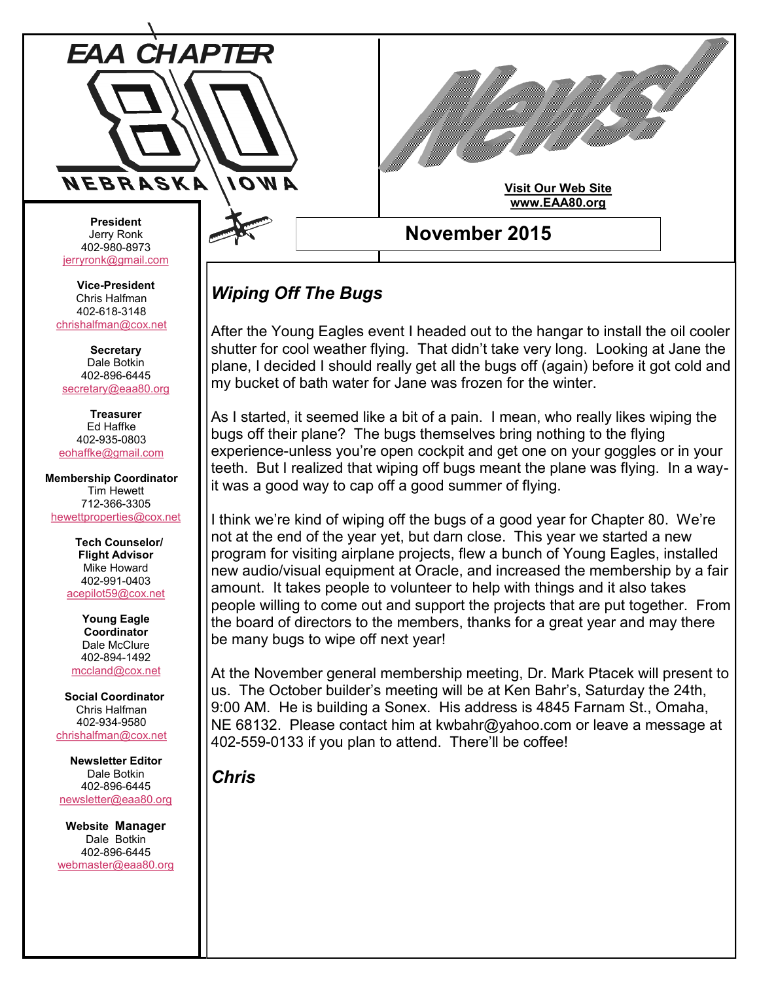

## **November 2015 Visit Our Web Site [www.EAA80.org](http://www.eaa80.org/)**

## *Wiping Off The Bugs*

After the Young Eagles event I headed out to the hangar to install the oil cooler shutter for cool weather flying. That didn't take very long. Looking at Jane the plane, I decided I should really get all the bugs off (again) before it got cold and my bucket of bath water for Jane was frozen for the winter.

As I started, it seemed like a bit of a pain. I mean, who really likes wiping the bugs off their plane? The bugs themselves bring nothing to the flying experience-unless you're open cockpit and get one on your goggles or in your teeth. But I realized that wiping off bugs meant the plane was flying. In a wayit was a good way to cap off a good summer of flying.

I think we're kind of wiping off the bugs of a good year for Chapter 80. We're not at the end of the year yet, but darn close. This year we started a new program for visiting airplane projects, flew a bunch of Young Eagles, installed new audio/visual equipment at Oracle, and increased the membership by a fair amount. It takes people to volunteer to help with things and it also takes people willing to come out and support the projects that are put together. From the board of directors to the members, thanks for a great year and may there be many bugs to wipe off next year!

At the November general membership meeting, Dr. Mark Ptacek will present to us. The October builder's meeting will be at Ken Bahr's, Saturday the 24th, 9:00 AM. He is building a Sonex. His address is 4845 Farnam St., Omaha, NE 68132. Please contact him at kwbahr@yahoo.com or leave a message at 402-559-0133 if you plan to attend. There'll be coffee!

*Chris*

**President** Jerry Ronk 402-980-8973 [jerryronk@gmail.com](mailto:jerryronk@gmail.com)

**Vice-President** Chris Halfman 402-618-3148 [chrishalfman@cox.net](mailto:chrishalfman@cox.net)

**Secretary** Dale Botkin 402-896-6445 [secretary@eaa80.org](mailto:secretary@eaa80.org)

**Treasurer** Ed Haffke 402-935-0803 [eohaffke@gmail.com](mailto:eohaffke@gmail.com)

**Membership Coordinator** Tim Hewett 712-366-3305 [hewettproperties@cox.net](mailto:hewettproperties@cox.net)

> **Tech Counselor/ Flight Advisor** Mike Howard 402-991-0403 [acepilot59@cox.net](mailto:acepilot59@cox.net)

**Young Eagle Coordinator** Dale McClure 402-894-1492 [mccland@cox.net](mailto:mccland@cox.net)

 **Social Coordinator** Chris Halfman 402-934-9580 [chrishalfman@cox.net](mailto:chrishalfman@cox.net)

**Newsletter Editor** Dale Botkin 402-896-6445 [newsletter@eaa80.org](mailto:newsletter@eaa80.org)

**Website Manager** Dale Botkin 402-896-6445 [webmaster@eaa80.org](mailto:webmaster@eaa80.org)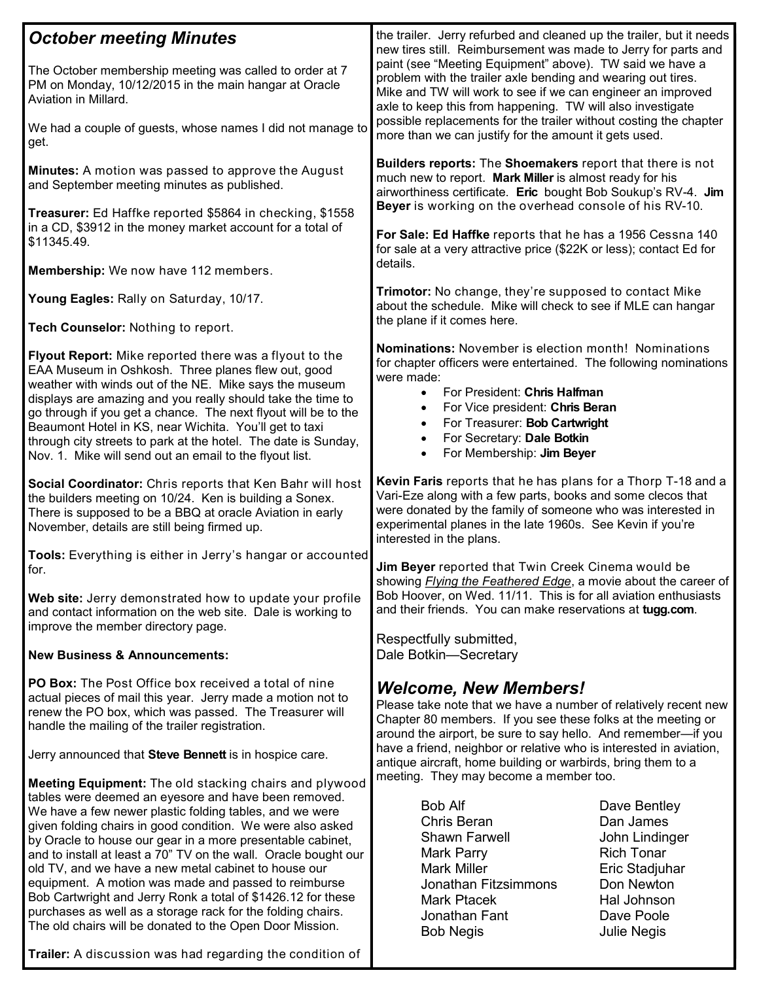| <b>October meeting Minutes</b>                                                                                                                                                                                                                                                                                                                                                                                                                                                                                                                                                                                                                                                      | the trailer. Jerry refurbed and cleaned up the trailer, but it needs<br>new tires still. Reimbursement was made to Jerry for parts and<br>paint (see "Meeting Equipment" above). TW said we have a<br>problem with the trailer axle bending and wearing out tires.<br>Mike and TW will work to see if we can engineer an improved<br>axle to keep this from happening. TW will also investigate<br>possible replacements for the trailer without costing the chapter<br>more than we can justify for the amount it gets used. |
|-------------------------------------------------------------------------------------------------------------------------------------------------------------------------------------------------------------------------------------------------------------------------------------------------------------------------------------------------------------------------------------------------------------------------------------------------------------------------------------------------------------------------------------------------------------------------------------------------------------------------------------------------------------------------------------|-------------------------------------------------------------------------------------------------------------------------------------------------------------------------------------------------------------------------------------------------------------------------------------------------------------------------------------------------------------------------------------------------------------------------------------------------------------------------------------------------------------------------------|
| The October membership meeting was called to order at 7<br>PM on Monday, 10/12/2015 in the main hangar at Oracle<br>Aviation in Millard.                                                                                                                                                                                                                                                                                                                                                                                                                                                                                                                                            |                                                                                                                                                                                                                                                                                                                                                                                                                                                                                                                               |
| We had a couple of guests, whose names I did not manage to<br>get.                                                                                                                                                                                                                                                                                                                                                                                                                                                                                                                                                                                                                  |                                                                                                                                                                                                                                                                                                                                                                                                                                                                                                                               |
| Minutes: A motion was passed to approve the August<br>and September meeting minutes as published.                                                                                                                                                                                                                                                                                                                                                                                                                                                                                                                                                                                   | Builders reports: The Shoemakers report that there is not<br>much new to report. Mark Miller is almost ready for his<br>airworthiness certificate. Eric bought Bob Soukup's RV-4. Jim                                                                                                                                                                                                                                                                                                                                         |
| Treasurer: Ed Haffke reported \$5864 in checking, \$1558<br>in a CD, \$3912 in the money market account for a total of<br>\$11345.49.                                                                                                                                                                                                                                                                                                                                                                                                                                                                                                                                               | Beyer is working on the overhead console of his RV-10.<br>For Sale: Ed Haffke reports that he has a 1956 Cessna 140<br>for sale at a very attractive price (\$22K or less); contact Ed for<br>details.                                                                                                                                                                                                                                                                                                                        |
| Membership: We now have 112 members.                                                                                                                                                                                                                                                                                                                                                                                                                                                                                                                                                                                                                                                |                                                                                                                                                                                                                                                                                                                                                                                                                                                                                                                               |
| Young Eagles: Rally on Saturday, 10/17.                                                                                                                                                                                                                                                                                                                                                                                                                                                                                                                                                                                                                                             | Trimotor: No change, they're supposed to contact Mike<br>about the schedule. Mike will check to see if MLE can hangar                                                                                                                                                                                                                                                                                                                                                                                                         |
| Tech Counselor: Nothing to report.                                                                                                                                                                                                                                                                                                                                                                                                                                                                                                                                                                                                                                                  | the plane if it comes here.                                                                                                                                                                                                                                                                                                                                                                                                                                                                                                   |
| Flyout Report: Mike reported there was a flyout to the<br>EAA Museum in Oshkosh. Three planes flew out, good<br>weather with winds out of the NE. Mike says the museum<br>displays are amazing and you really should take the time to<br>go through if you get a chance. The next flyout will be to the<br>Beaumont Hotel in KS, near Wichita. You'll get to taxi<br>through city streets to park at the hotel. The date is Sunday,<br>Nov. 1. Mike will send out an email to the flyout list.                                                                                                                                                                                      | Nominations: November is election month! Nominations<br>for chapter officers were entertained. The following nominations<br>were made:<br>For President: Chris Halfman<br>$\bullet$<br>For Vice president: Chris Beran<br>$\bullet$<br>For Treasurer: Bob Cartwright<br>$\bullet$<br>For Secretary: Dale Botkin<br>$\bullet$<br>For Membership: Jim Beyer<br>$\bullet$                                                                                                                                                        |
| Social Coordinator: Chris reports that Ken Bahr will host<br>the builders meeting on 10/24. Ken is building a Sonex.<br>There is supposed to be a BBQ at oracle Aviation in early<br>November, details are still being firmed up.                                                                                                                                                                                                                                                                                                                                                                                                                                                   | Kevin Faris reports that he has plans for a Thorp T-18 and a<br>Vari-Eze along with a few parts, books and some clecos that<br>were donated by the family of someone who was interested in<br>experimental planes in the late 1960s. See Kevin if you're<br>interested in the plans.                                                                                                                                                                                                                                          |
| Tools: Everything is either in Jerry's hangar or accounted<br>for.                                                                                                                                                                                                                                                                                                                                                                                                                                                                                                                                                                                                                  | Jim Beyer reported that Twin Creek Cinema would be<br>showing <i>Flying the Feathered Edge</i> , a movie about the career of                                                                                                                                                                                                                                                                                                                                                                                                  |
| Web site: Jerry demonstrated how to update your profile<br>and contact information on the web site. Dale is working to<br>improve the member directory page.                                                                                                                                                                                                                                                                                                                                                                                                                                                                                                                        | Bob Hoover, on Wed. 11/11. This is for all aviation enthusiasts<br>and their friends. You can make reservations at tugg.com.                                                                                                                                                                                                                                                                                                                                                                                                  |
| <b>New Business &amp; Announcements:</b>                                                                                                                                                                                                                                                                                                                                                                                                                                                                                                                                                                                                                                            | Respectfully submitted,<br>Dale Botkin-Secretary                                                                                                                                                                                                                                                                                                                                                                                                                                                                              |
| <b>PO Box:</b> The Post Office box received a total of nine<br>actual pieces of mail this year. Jerry made a motion not to<br>renew the PO box, which was passed. The Treasurer will<br>handle the mailing of the trailer registration.                                                                                                                                                                                                                                                                                                                                                                                                                                             | <b>Welcome, New Members!</b><br>Please take note that we have a number of relatively recent new<br>Chapter 80 members. If you see these folks at the meeting or<br>around the airport, be sure to say hello. And remember-if you                                                                                                                                                                                                                                                                                              |
| Jerry announced that Steve Bennett is in hospice care.                                                                                                                                                                                                                                                                                                                                                                                                                                                                                                                                                                                                                              | have a friend, neighbor or relative who is interested in aviation,<br>antique aircraft, home building or warbirds, bring them to a                                                                                                                                                                                                                                                                                                                                                                                            |
| Meeting Equipment: The old stacking chairs and plywood<br>tables were deemed an eyesore and have been removed.<br>We have a few newer plastic folding tables, and we were<br>given folding chairs in good condition. We were also asked<br>by Oracle to house our gear in a more presentable cabinet,<br>and to install at least a 70" TV on the wall. Oracle bought our<br>old TV, and we have a new metal cabinet to house our<br>equipment. A motion was made and passed to reimburse<br>Bob Cartwright and Jerry Ronk a total of \$1426.12 for these<br>purchases as well as a storage rack for the folding chairs.<br>The old chairs will be donated to the Open Door Mission. | meeting. They may become a member too.<br><b>Bob Alf</b><br>Dave Bentley<br>Chris Beran<br>Dan James<br>Shawn Farwell<br>John Lindinger<br><b>Rich Tonar</b><br>Mark Parry<br><b>Mark Miller</b><br>Eric Stadjuhar<br>Jonathan Fitzsimmons<br>Don Newton<br><b>Mark Ptacek</b><br>Hal Johnson<br>Jonathan Fant<br>Dave Poole<br><b>Bob Negis</b><br><b>Julie Negis</b>                                                                                                                                                        |

**Trailer:** A discussion was had regarding the condition of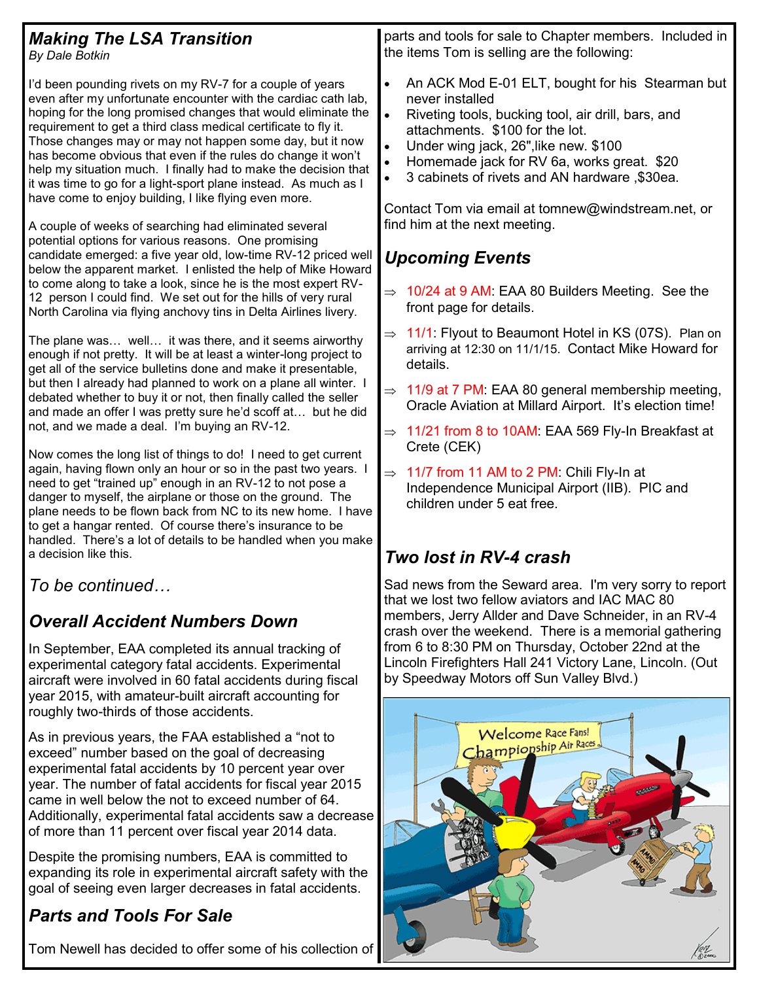| <b>Making The LSA Transition</b><br>By Dale Botkin                                                                                                                                                                                                                                                                                                                                                                                                                                                                                                                                                                                                                                                                                                                                                                                                                                                                                                                                                                                                    | parts and tools for sale to Chapter members. Included in<br>the items Tom is selling are the following:                                                                                                                                                                                                                                                                                                                                                                                                                                                   |
|-------------------------------------------------------------------------------------------------------------------------------------------------------------------------------------------------------------------------------------------------------------------------------------------------------------------------------------------------------------------------------------------------------------------------------------------------------------------------------------------------------------------------------------------------------------------------------------------------------------------------------------------------------------------------------------------------------------------------------------------------------------------------------------------------------------------------------------------------------------------------------------------------------------------------------------------------------------------------------------------------------------------------------------------------------|-----------------------------------------------------------------------------------------------------------------------------------------------------------------------------------------------------------------------------------------------------------------------------------------------------------------------------------------------------------------------------------------------------------------------------------------------------------------------------------------------------------------------------------------------------------|
| I'd been pounding rivets on my RV-7 for a couple of years<br>even after my unfortunate encounter with the cardiac cath lab,<br>hoping for the long promised changes that would eliminate the<br>requirement to get a third class medical certificate to fly it.<br>Those changes may or may not happen some day, but it now<br>has become obvious that even if the rules do change it won't<br>help my situation much. I finally had to make the decision that<br>it was time to go for a light-sport plane instead. As much as I<br>have come to enjoy building, I like flying even more.<br>A couple of weeks of searching had eliminated several<br>potential options for various reasons. One promising<br>candidate emerged: a five year old, low-time RV-12 priced well<br>below the apparent market. I enlisted the help of Mike Howard<br>to come along to take a look, since he is the most expert RV-<br>12 person I could find. We set out for the hills of very rural<br>North Carolina via flying anchovy tins in Delta Airlines livery. | An ACK Mod E-01 ELT, bought for his Stearman but<br>$\bullet$<br>never installed<br>$\bullet$<br>Riveting tools, bucking tool, air drill, bars, and<br>attachments. \$100 for the lot.<br>Under wing jack, 26", like new. \$100<br>$\bullet$<br>Homemade jack for RV 6a, works great. \$20<br>3 cabinets of rivets and AN hardware , \$30ea.<br>Contact Tom via email at tomnew@windstream.net, or<br>find him at the next meeting.<br><b>Upcoming Events</b><br>$\Rightarrow$ 10/24 at 9 AM: EAA 80 Builders Meeting. See the<br>front page for details. |
| The plane was well it was there, and it seems airworthy<br>enough if not pretty. It will be at least a winter-long project to<br>get all of the service bulletins done and make it presentable,<br>but then I already had planned to work on a plane all winter. I<br>debated whether to buy it or not, then finally called the seller<br>and made an offer I was pretty sure he'd scoff at but he did<br>not, and we made a deal. I'm buying an RV-12.<br>Now comes the long list of things to do! I need to get current<br>again, having flown only an hour or so in the past two years. I<br>need to get "trained up" enough in an RV-12 to not pose a<br>danger to myself, the airplane or those on the ground. The<br>plane needs to be flown back from NC to its new home. I have<br>to get a hangar rented. Of course there's insurance to be<br>handled. There's a lot of details to be handled when you make<br>a decision like this.                                                                                                        | 11/1: Flyout to Beaumont Hotel in KS (07S). Plan on<br>$\Rightarrow$<br>arriving at 12:30 on 11/1/15. Contact Mike Howard for<br>details.<br>$\Rightarrow$ 11/9 at 7 PM: EAA 80 general membership meeting,<br>Oracle Aviation at Millard Airport. It's election time!<br>$\Rightarrow$ 11/21 from 8 to 10AM: EAA 569 Fly-In Breakfast at<br>Crete (CEK)<br>$\Rightarrow$ 11/7 from 11 AM to 2 PM: Chili Fly-In at<br>Independence Municipal Airport (IIB). PIC and<br>children under 5 eat free.<br>Two lost in RV-4 crash                               |
| To be continued<br><b>Overall Accident Numbers Down</b><br>In September, EAA completed its annual tracking of<br>experimental category fatal accidents. Experimental<br>aircraft were involved in 60 fatal accidents during fiscal                                                                                                                                                                                                                                                                                                                                                                                                                                                                                                                                                                                                                                                                                                                                                                                                                    | Sad news from the Seward area. I'm very sorry to report<br>that we lost two fellow aviators and IAC MAC 80<br>members, Jerry Allder and Dave Schneider, in an RV-4<br>crash over the weekend. There is a memorial gathering<br>from 6 to 8:30 PM on Thursday, October 22nd at the<br>Lincoln Firefighters Hall 241 Victory Lane, Lincoln. (Out<br>by Speedway Motors off Sun Valley Blvd.)<br><b>Welcome Race Fans!</b><br>Championship Air Races<br>$\circ$ $\vee$                                                                                       |
| year 2015, with amateur-built aircraft accounting for<br>roughly two-thirds of those accidents.<br>As in previous years, the FAA established a "not to<br>exceed" number based on the goal of decreasing<br>experimental fatal accidents by 10 percent year over<br>year. The number of fatal accidents for fiscal year 2015<br>$\mu$ hole $\mu$ the net to exceed number of $\beta$                                                                                                                                                                                                                                                                                                                                                                                                                                                                                                                                                                                                                                                                  |                                                                                                                                                                                                                                                                                                                                                                                                                                                                                                                                                           |

came in well below the not to exceed number of 64. Additionally, experimental fatal accidents saw a decrease of more than 11 percent over fiscal year 2014 data.

Despite the promising numbers, EAA is committed to expanding its role in experimental aircraft safety with the goal of seeing even larger decreases in fatal accidents.

## *Parts and Tools For Sale*

Tom Newell has decided to offer some of his collection of